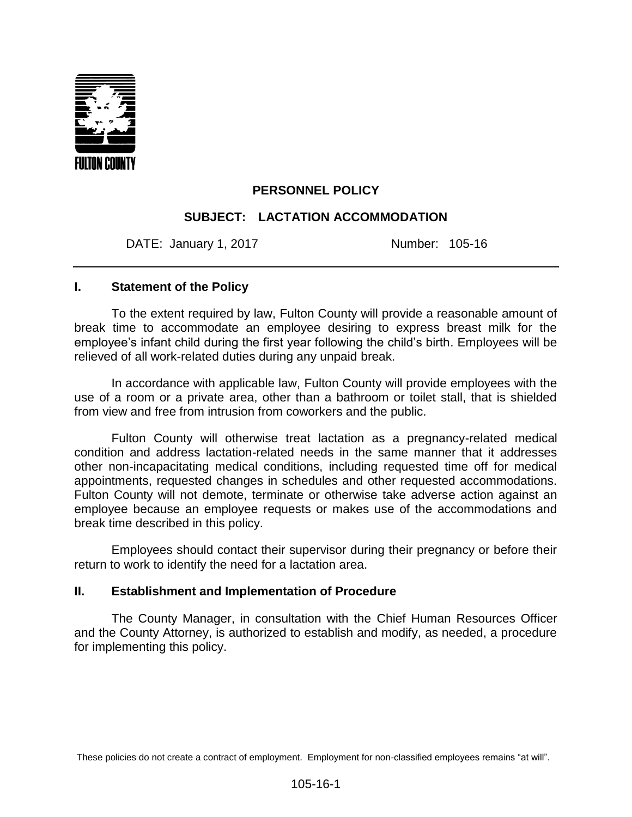

# **PERSONNEL POLICY**

## **SUBJECT: LACTATION ACCOMMODATION**

DATE: January 1, 2017 Mumber: 105-16

#### **I. Statement of the Policy**

To the extent required by law, Fulton County will provide a reasonable amount of break time to accommodate an employee desiring to express breast milk for the employee's infant child during the first year following the child's birth. Employees will be relieved of all work-related duties during any unpaid break.

In accordance with applicable law, Fulton County will provide employees with the use of a room or a private area, other than a bathroom or toilet stall, that is shielded from view and free from intrusion from coworkers and the public.

Fulton County will otherwise treat lactation as a pregnancy-related medical condition and address lactation-related needs in the same manner that it addresses other non-incapacitating medical conditions, including requested time off for medical appointments, requested changes in schedules and other requested accommodations. Fulton County will not demote, terminate or otherwise take adverse action against an employee because an employee requests or makes use of the accommodations and break time described in this policy.

Employees should contact their supervisor during their pregnancy or before their return to work to identify the need for a lactation area.

## **II. Establishment and Implementation of Procedure**

The County Manager, in consultation with the Chief Human Resources Officer and the County Attorney, is authorized to establish and modify, as needed, a procedure for implementing this policy.

These policies do not create a contract of employment. Employment for non-classified employees remains "at will".